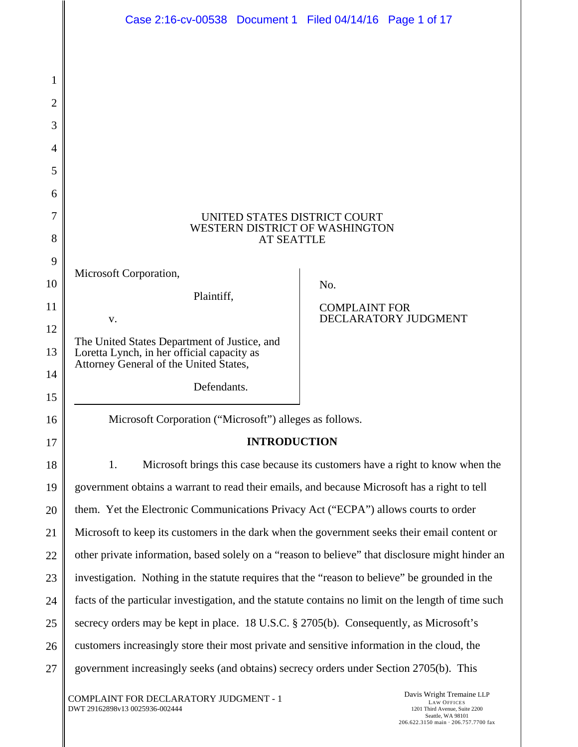|                | Case 2:16-cv-00538 Document 1 Filed 04/14/16 Page 1 of 17                                                                            |                      |                      |
|----------------|--------------------------------------------------------------------------------------------------------------------------------------|----------------------|----------------------|
|                |                                                                                                                                      |                      |                      |
| 1              |                                                                                                                                      |                      |                      |
| $\overline{c}$ |                                                                                                                                      |                      |                      |
| 3              |                                                                                                                                      |                      |                      |
| 4              |                                                                                                                                      |                      |                      |
| 5              |                                                                                                                                      |                      |                      |
| 6              |                                                                                                                                      |                      |                      |
| 7<br>8         | UNITED STATES DISTRICT COURT<br>WESTERN DISTRICT OF WASHINGTON<br><b>AT SEATTLE</b>                                                  |                      |                      |
| 9              |                                                                                                                                      |                      |                      |
| 10             | Microsoft Corporation,                                                                                                               | No.                  |                      |
| 11             | Plaintiff,                                                                                                                           | <b>COMPLAINT FOR</b> |                      |
| 12             | v.                                                                                                                                   |                      | DECLARATORY JUDGMENT |
| 13             | The United States Department of Justice, and<br>Loretta Lynch, in her official capacity as<br>Attorney General of the United States, |                      |                      |
| 14<br>15       | Defendants.                                                                                                                          |                      |                      |
| 16             | Microsoft Corporation ("Microsoft") alleges as follows.                                                                              |                      |                      |
| 17             | <b>INTRODUCTION</b>                                                                                                                  |                      |                      |
| 18             | Microsoft brings this case because its customers have a right to know when the<br>1.                                                 |                      |                      |
| 19             | government obtains a warrant to read their emails, and because Microsoft has a right to tell                                         |                      |                      |
| 20             | them. Yet the Electronic Communications Privacy Act ("ECPA") allows courts to order                                                  |                      |                      |
| 21             | Microsoft to keep its customers in the dark when the government seeks their email content or                                         |                      |                      |
| 22             | other private information, based solely on a "reason to believe" that disclosure might hinder an                                     |                      |                      |
| 23             | investigation. Nothing in the statute requires that the "reason to believe" be grounded in the                                       |                      |                      |
| 24             | facts of the particular investigation, and the statute contains no limit on the length of time such                                  |                      |                      |
| 25             | secrecy orders may be kept in place. 18 U.S.C. § 2705(b). Consequently, as Microsoft's                                               |                      |                      |
| 26             | customers increasingly store their most private and sensitive information in the cloud, the                                          |                      |                      |
| 27             | government increasingly seeks (and obtains) secrecy orders under Section 2705(b). This                                               |                      |                      |

COMPLAINT FOR DECLARATORY JUDGMENT - 1 DWT 29162898v13 0025936-002444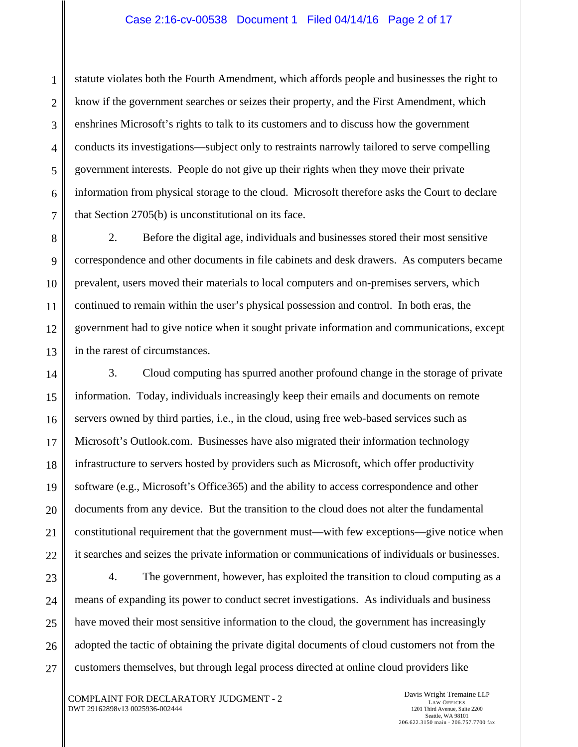statute violates both the Fourth Amendment, which affords people and businesses the right to know if the government searches or seizes their property, and the First Amendment, which enshrines Microsoft's rights to talk to its customers and to discuss how the government conducts its investigations—subject only to restraints narrowly tailored to serve compelling government interests. People do not give up their rights when they move their private information from physical storage to the cloud. Microsoft therefore asks the Court to declare that Section 2705(b) is unconstitutional on its face.

2. Before the digital age, individuals and businesses stored their most sensitive correspondence and other documents in file cabinets and desk drawers. As computers became prevalent, users moved their materials to local computers and on-premises servers, which continued to remain within the user's physical possession and control. In both eras, the government had to give notice when it sought private information and communications, except in the rarest of circumstances.

3. Cloud computing has spurred another profound change in the storage of private information. Today, individuals increasingly keep their emails and documents on remote servers owned by third parties, i.e., in the cloud, using free web-based services such as Microsoft's Outlook.com. Businesses have also migrated their information technology infrastructure to servers hosted by providers such as Microsoft, which offer productivity software (e.g., Microsoft's Office365) and the ability to access correspondence and other documents from any device. But the transition to the cloud does not alter the fundamental constitutional requirement that the government must—with few exceptions—give notice when it searches and seizes the private information or communications of individuals or businesses.

4. The government, however, has exploited the transition to cloud computing as a means of expanding its power to conduct secret investigations. As individuals and business have moved their most sensitive information to the cloud, the government has increasingly adopted the tactic of obtaining the private digital documents of cloud customers not from the customers themselves, but through legal process directed at online cloud providers like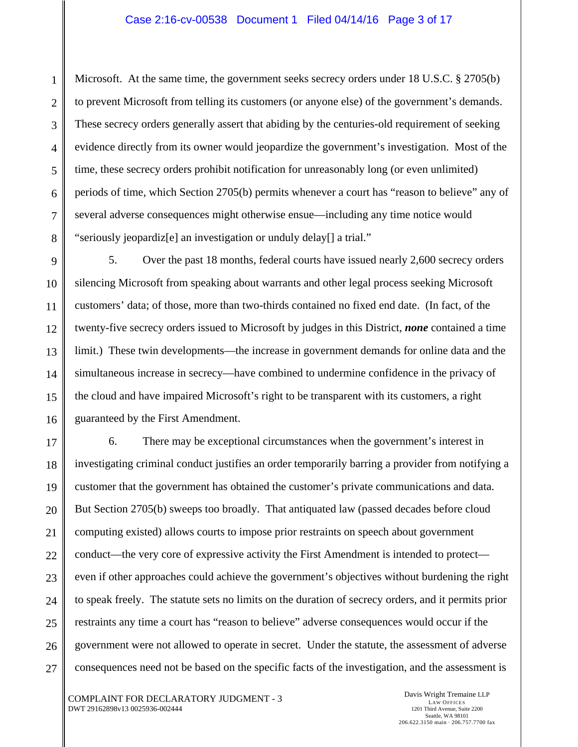Microsoft. At the same time, the government seeks secrecy orders under 18 U.S.C. § 2705(b) to prevent Microsoft from telling its customers (or anyone else) of the government's demands. These secrecy orders generally assert that abiding by the centuries-old requirement of seeking evidence directly from its owner would jeopardize the government's investigation. Most of the time, these secrecy orders prohibit notification for unreasonably long (or even unlimited) periods of time, which Section 2705(b) permits whenever a court has "reason to believe" any of several adverse consequences might otherwise ensue—including any time notice would "seriously jeopardiz[e] an investigation or unduly delay[] a trial."

5. Over the past 18 months, federal courts have issued nearly 2,600 secrecy orders silencing Microsoft from speaking about warrants and other legal process seeking Microsoft customers' data; of those, more than two-thirds contained no fixed end date. (In fact, of the twenty-five secrecy orders issued to Microsoft by judges in this District, *none* contained a time limit.) These twin developments—the increase in government demands for online data and the simultaneous increase in secrecy—have combined to undermine confidence in the privacy of the cloud and have impaired Microsoft's right to be transparent with its customers, a right guaranteed by the First Amendment.

6. There may be exceptional circumstances when the government's interest in investigating criminal conduct justifies an order temporarily barring a provider from notifying a customer that the government has obtained the customer's private communications and data. But Section 2705(b) sweeps too broadly. That antiquated law (passed decades before cloud computing existed) allows courts to impose prior restraints on speech about government conduct—the very core of expressive activity the First Amendment is intended to protect even if other approaches could achieve the government's objectives without burdening the right to speak freely. The statute sets no limits on the duration of secrecy orders, and it permits prior restraints any time a court has "reason to believe" adverse consequences would occur if the government were not allowed to operate in secret. Under the statute, the assessment of adverse consequences need not be based on the specific facts of the investigation, and the assessment is

1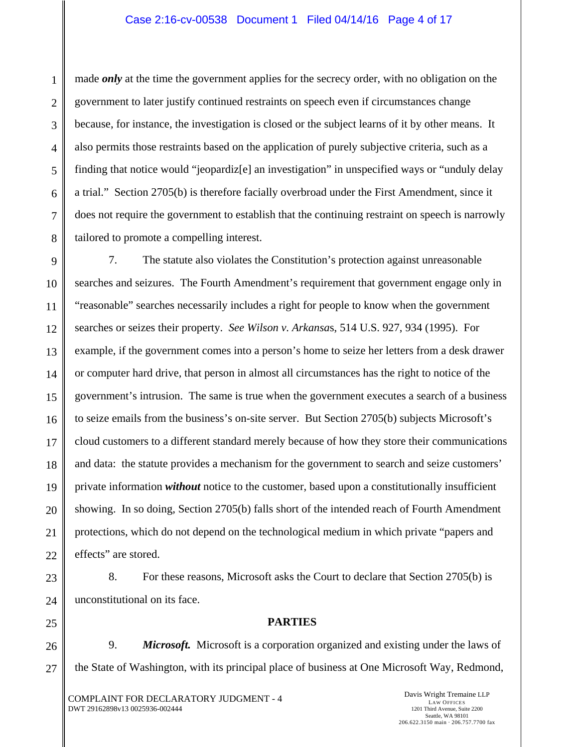made *only* at the time the government applies for the secrecy order, with no obligation on the government to later justify continued restraints on speech even if circumstances change because, for instance, the investigation is closed or the subject learns of it by other means. It also permits those restraints based on the application of purely subjective criteria, such as a finding that notice would "jeopardiz[e] an investigation" in unspecified ways or "unduly delay a trial." Section 2705(b) is therefore facially overbroad under the First Amendment, since it does not require the government to establish that the continuing restraint on speech is narrowly tailored to promote a compelling interest.

7. The statute also violates the Constitution's protection against unreasonable searches and seizures. The Fourth Amendment's requirement that government engage only in "reasonable" searches necessarily includes a right for people to know when the government searches or seizes their property. *See Wilson v. Arkansa*s, 514 U.S. 927, 934 (1995). For example, if the government comes into a person's home to seize her letters from a desk drawer or computer hard drive, that person in almost all circumstances has the right to notice of the government's intrusion. The same is true when the government executes a search of a business to seize emails from the business's on-site server. But Section 2705(b) subjects Microsoft's cloud customers to a different standard merely because of how they store their communications and data: the statute provides a mechanism for the government to search and seize customers' private information *without* notice to the customer, based upon a constitutionally insufficient showing. In so doing, Section 2705(b) falls short of the intended reach of Fourth Amendment protections, which do not depend on the technological medium in which private "papers and effects" are stored.

8. For these reasons, Microsoft asks the Court to declare that Section 2705(b) is unconstitutional on its face.

### **PARTIES**

9. *Microsoft.* Microsoft is a corporation organized and existing under the laws of the State of Washington, with its principal place of business at One Microsoft Way, Redmond,

COMPLAINT FOR DECLARATORY JUDGMENT - 4 DWT 29162898v13 0025936-002444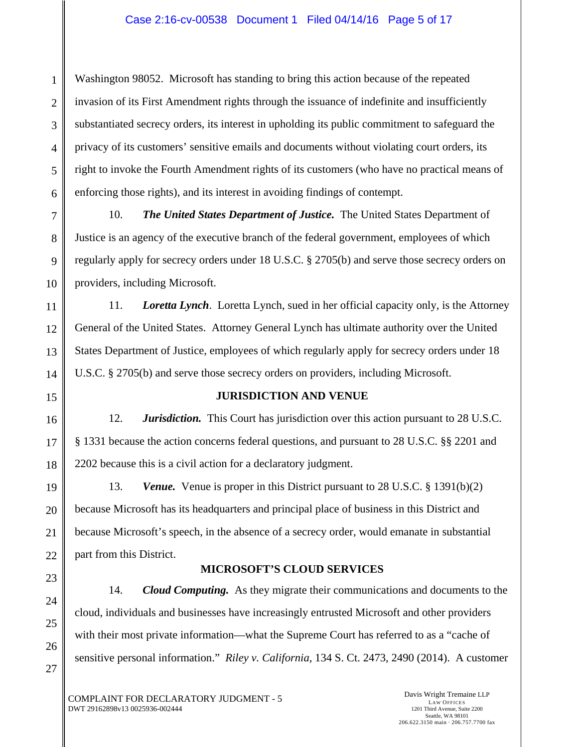Washington 98052. Microsoft has standing to bring this action because of the repeated invasion of its First Amendment rights through the issuance of indefinite and insufficiently substantiated secrecy orders, its interest in upholding its public commitment to safeguard the privacy of its customers' sensitive emails and documents without violating court orders, its right to invoke the Fourth Amendment rights of its customers (who have no practical means of enforcing those rights), and its interest in avoiding findings of contempt.

10. *The United States Department of Justice.* The United States Department of Justice is an agency of the executive branch of the federal government, employees of which regularly apply for secrecy orders under 18 U.S.C. § 2705(b) and serve those secrecy orders on providers, including Microsoft.

11. *Loretta Lynch*. Loretta Lynch, sued in her official capacity only, is the Attorney General of the United States. Attorney General Lynch has ultimate authority over the United States Department of Justice, employees of which regularly apply for secrecy orders under 18 U.S.C. § 2705(b) and serve those secrecy orders on providers, including Microsoft.

# **JURISDICTION AND VENUE**

12. *Jurisdiction.* This Court has jurisdiction over this action pursuant to 28 U.S.C. § 1331 because the action concerns federal questions, and pursuant to 28 U.S.C. §§ 2201 and 2202 because this is a civil action for a declaratory judgment.

13. *Venue.* Venue is proper in this District pursuant to 28 U.S.C. § 1391(b)(2) because Microsoft has its headquarters and principal place of business in this District and because Microsoft's speech, in the absence of a secrecy order, would emanate in substantial part from this District.

# **MICROSOFT'S CLOUD SERVICES**

14. *Cloud Computing.* As they migrate their communications and documents to the cloud, individuals and businesses have increasingly entrusted Microsoft and other providers with their most private information—what the Supreme Court has referred to as a "cache of sensitive personal information." *Riley v. California*, 134 S. Ct. 2473, 2490 (2014). A customer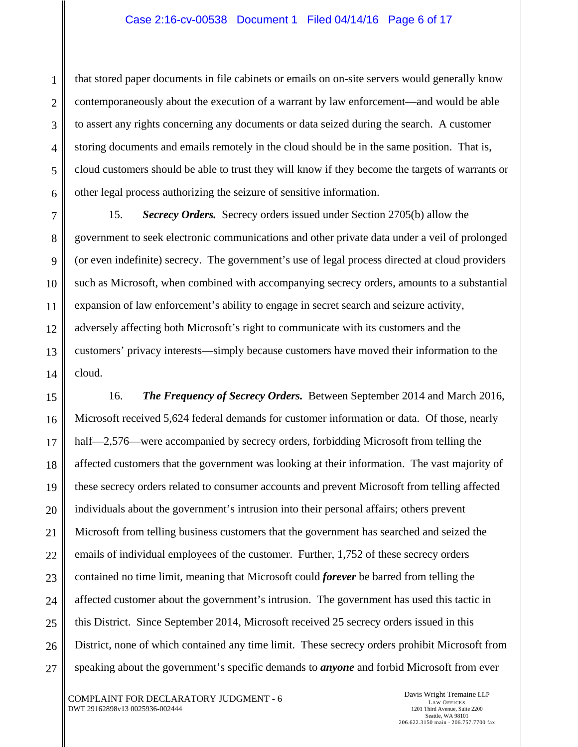that stored paper documents in file cabinets or emails on on-site servers would generally know contemporaneously about the execution of a warrant by law enforcement—and would be able to assert any rights concerning any documents or data seized during the search. A customer storing documents and emails remotely in the cloud should be in the same position. That is, cloud customers should be able to trust they will know if they become the targets of warrants or other legal process authorizing the seizure of sensitive information.

15. *Secrecy Orders.* Secrecy orders issued under Section 2705(b) allow the government to seek electronic communications and other private data under a veil of prolonged (or even indefinite) secrecy. The government's use of legal process directed at cloud providers such as Microsoft, when combined with accompanying secrecy orders, amounts to a substantial expansion of law enforcement's ability to engage in secret search and seizure activity, adversely affecting both Microsoft's right to communicate with its customers and the customers' privacy interests—simply because customers have moved their information to the cloud.

16. *The Frequency of Secrecy Orders.* Between September 2014 and March 2016, Microsoft received 5,624 federal demands for customer information or data. Of those, nearly half—2,576—were accompanied by secrecy orders, forbidding Microsoft from telling the affected customers that the government was looking at their information. The vast majority of these secrecy orders related to consumer accounts and prevent Microsoft from telling affected individuals about the government's intrusion into their personal affairs; others prevent Microsoft from telling business customers that the government has searched and seized the emails of individual employees of the customer. Further, 1,752 of these secrecy orders contained no time limit, meaning that Microsoft could *forever* be barred from telling the affected customer about the government's intrusion. The government has used this tactic in this District. Since September 2014, Microsoft received 25 secrecy orders issued in this District, none of which contained any time limit. These secrecy orders prohibit Microsoft from speaking about the government's specific demands to *anyone* and forbid Microsoft from ever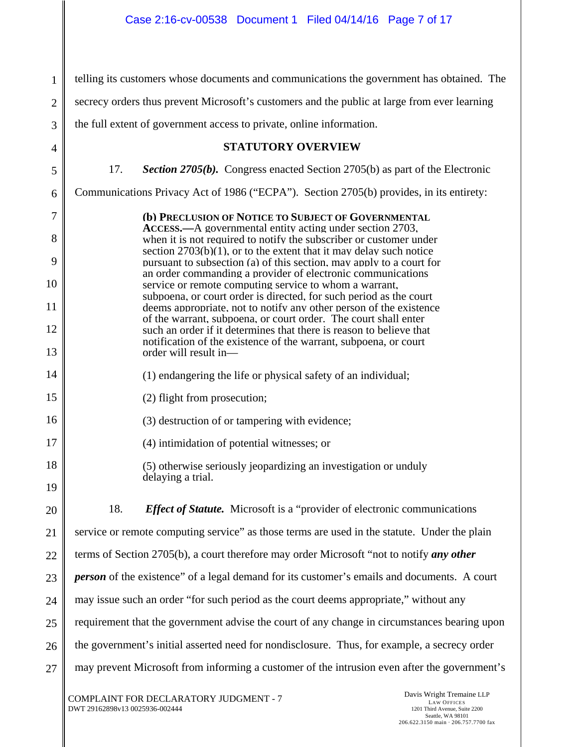1 2 3 4 5 6 7 8 9 10 11 12 13 14 15 16 17 18 19 20 21 22 23 24 25 26 27 telling its customers whose documents and communications the government has obtained. The secrecy orders thus prevent Microsoft's customers and the public at large from ever learning the full extent of government access to private, online information. **STATUTORY OVERVIEW**  17. *Section 2705(b).* Congress enacted Section 2705(b) as part of the Electronic Communications Privacy Act of 1986 ("ECPA"). Section 2705(b) provides, in its entirety: **(b) PRECLUSION OF NOTICE TO SUBJECT OF GOVERNMENTAL ACCESS.—**A governmental entity acting under section 2703, when it is not required to notify the subscriber or customer under section 2703(b)(1), or to the extent that it may delay such notice pursuant to subsection (a) of this section, may apply to a court for an order commanding a provider of electronic communications service or remote computing service to whom a warrant, subpoena, or court order is directed, for such period as the court deems appropriate, not to notify any other person of the existence of the warrant, subpoena, or court order. The court shall enter such an order if it determines that there is reason to believe that notification of the existence of the warrant, subpoena, or court order will result in— (1) endangering the life or physical safety of an individual; (2) flight from prosecution; (3) destruction of or tampering with evidence; (4) intimidation of potential witnesses; or (5) otherwise seriously jeopardizing an investigation or unduly delaying a trial. 18. *Effect of Statute.* Microsoft is a "provider of electronic communications service or remote computing service" as those terms are used in the statute. Under the plain terms of Section 2705(b), a court therefore may order Microsoft "not to notify *any other person* of the existence" of a legal demand for its customer's emails and documents. A court may issue such an order "for such period as the court deems appropriate," without any requirement that the government advise the court of any change in circumstances bearing upon the government's initial asserted need for nondisclosure. Thus, for example, a secrecy order may prevent Microsoft from informing a customer of the intrusion even after the government's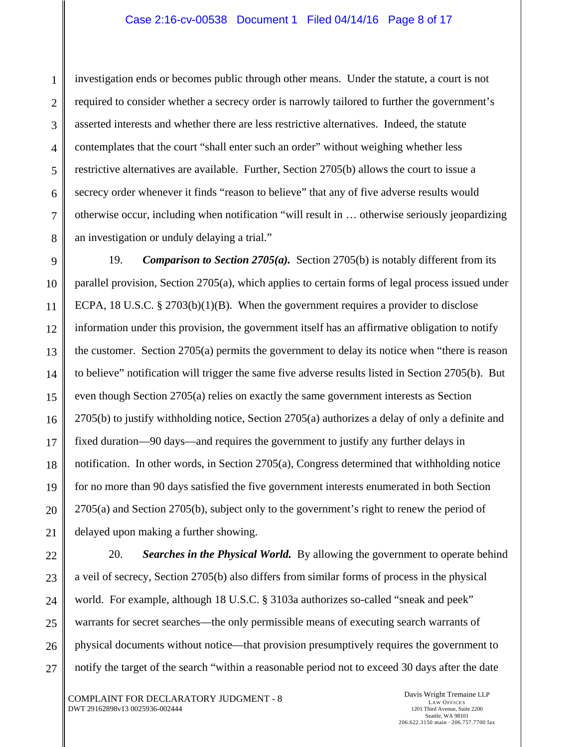investigation ends or becomes public through other means. Under the statute, a court is not required to consider whether a secrecy order is narrowly tailored to further the government's asserted interests and whether there are less restrictive alternatives. Indeed, the statute contemplates that the court "shall enter such an order" without weighing whether less restrictive alternatives are available. Further, Section 2705(b) allows the court to issue a secrecy order whenever it finds "reason to believe" that any of five adverse results would otherwise occur, including when notification "will result in … otherwise seriously jeopardizing an investigation or unduly delaying a trial."

19. *Comparison to Section 2705(a).* Section 2705(b) is notably different from its parallel provision, Section 2705(a), which applies to certain forms of legal process issued under ECPA, 18 U.S.C. § 2703(b)(1)(B). When the government requires a provider to disclose information under this provision, the government itself has an affirmative obligation to notify the customer. Section 2705(a) permits the government to delay its notice when "there is reason to believe" notification will trigger the same five adverse results listed in Section 2705(b). But even though Section 2705(a) relies on exactly the same government interests as Section 2705(b) to justify withholding notice, Section 2705(a) authorizes a delay of only a definite and fixed duration—90 days—and requires the government to justify any further delays in notification. In other words, in Section 2705(a), Congress determined that withholding notice for no more than 90 days satisfied the five government interests enumerated in both Section 2705(a) and Section 2705(b), subject only to the government's right to renew the period of delayed upon making a further showing.

20. *Searches in the Physical World.* By allowing the government to operate behind a veil of secrecy, Section 2705(b) also differs from similar forms of process in the physical world. For example, although 18 U.S.C. § 3103a authorizes so-called "sneak and peek" warrants for secret searches—the only permissible means of executing search warrants of physical documents without notice—that provision presumptively requires the government to notify the target of the search "within a reasonable period not to exceed 30 days after the date

COMPLAINT FOR DECLARATORY JUDGMENT - 8 DWT 29162898v13 0025936-002444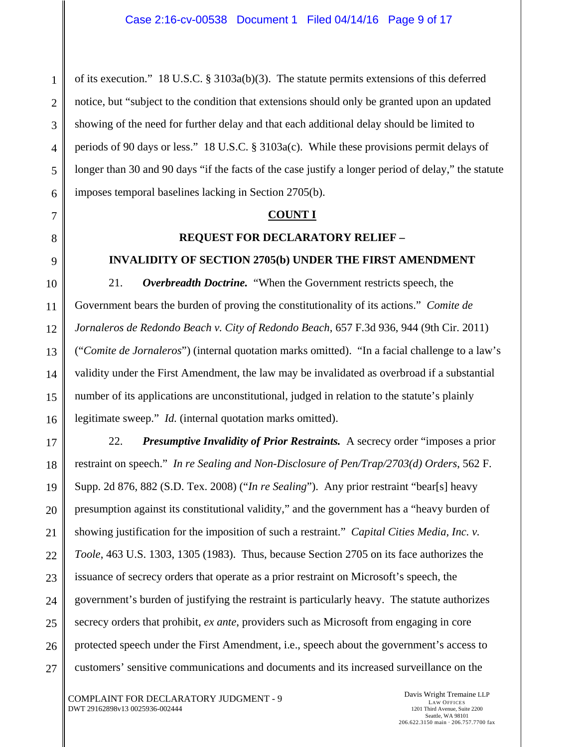of its execution." 18 U.S.C. § 3103a(b)(3). The statute permits extensions of this deferred notice, but "subject to the condition that extensions should only be granted upon an updated showing of the need for further delay and that each additional delay should be limited to periods of 90 days or less." 18 U.S.C. § 3103a(c). While these provisions permit delays of longer than 30 and 90 days "if the facts of the case justify a longer period of delay," the statute imposes temporal baselines lacking in Section 2705(b).

#### **COUNT I**

### **REQUEST FOR DECLARATORY RELIEF –**

### **INVALIDITY OF SECTION 2705(b) UNDER THE FIRST AMENDMENT**

21. *Overbreadth Doctrine.* "When the Government restricts speech, the Government bears the burden of proving the constitutionality of its actions." *Comite de Jornaleros de Redondo Beach v. City of Redondo Beach*, 657 F.3d 936, 944 (9th Cir. 2011) ("*Comite de Jornaleros*") (internal quotation marks omitted). "In a facial challenge to a law's validity under the First Amendment, the law may be invalidated as overbroad if a substantial number of its applications are unconstitutional, judged in relation to the statute's plainly legitimate sweep." *Id.* (internal quotation marks omitted).

22. *Presumptive Invalidity of Prior Restraints.* A secrecy order "imposes a prior restraint on speech." *In re Sealing and Non-Disclosure of Pen/Trap/2703(d) Orders*, 562 F. Supp. 2d 876, 882 (S.D. Tex. 2008) ("*In re Sealing*"). Any prior restraint "bear[s] heavy presumption against its constitutional validity," and the government has a "heavy burden of showing justification for the imposition of such a restraint." *Capital Cities Media, Inc. v. Toole*, 463 U.S. 1303, 1305 (1983). Thus, because Section 2705 on its face authorizes the issuance of secrecy orders that operate as a prior restraint on Microsoft's speech, the government's burden of justifying the restraint is particularly heavy. The statute authorizes secrecy orders that prohibit, *ex ante*, providers such as Microsoft from engaging in core protected speech under the First Amendment, i.e., speech about the government's access to customers' sensitive communications and documents and its increased surveillance on the

COMPLAINT FOR DECLARATORY JUDGMENT - 9 DWT 29162898v13 0025936-002444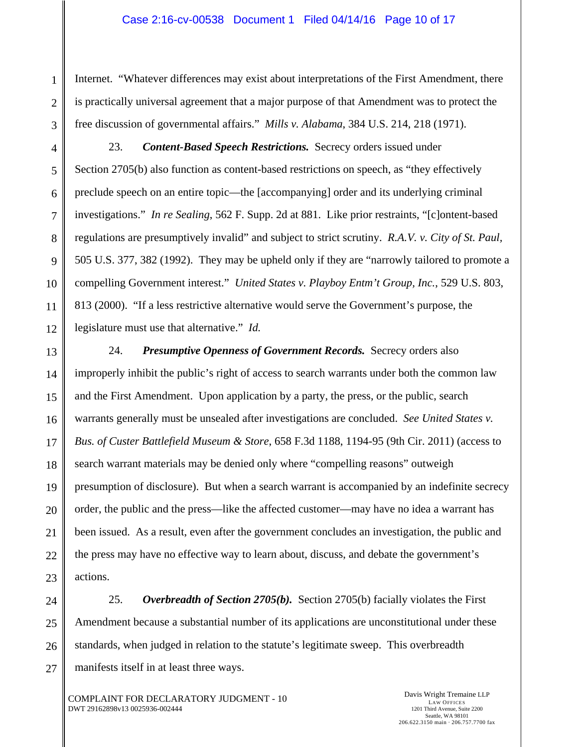Internet. "Whatever differences may exist about interpretations of the First Amendment, there is practically universal agreement that a major purpose of that Amendment was to protect the free discussion of governmental affairs." *Mills v. Alabama*, 384 U.S. 214, 218 (1971).

23. *Content-Based Speech Restrictions.* Secrecy orders issued under Section 2705(b) also function as content-based restrictions on speech, as "they effectively preclude speech on an entire topic—the [accompanying] order and its underlying criminal investigations." *In re Sealing*, 562 F. Supp. 2d at 881. Like prior restraints, "[c]ontent-based regulations are presumptively invalid" and subject to strict scrutiny. *R.A.V. v. City of St. Paul,* 505 U.S. 377, 382 (1992). They may be upheld only if they are "narrowly tailored to promote a compelling Government interest." *United States v. Playboy Entm't Group, Inc.*, 529 U.S. 803, 813 (2000). "If a less restrictive alternative would serve the Government's purpose, the legislature must use that alternative." *Id.*

24. *Presumptive Openness of Government Records.* Secrecy orders also improperly inhibit the public's right of access to search warrants under both the common law and the First Amendment. Upon application by a party, the press, or the public, search warrants generally must be unsealed after investigations are concluded. *See United States v. Bus. of Custer Battlefield Museum & Store*, 658 F.3d 1188, 1194-95 (9th Cir. 2011) (access to search warrant materials may be denied only where "compelling reasons" outweigh presumption of disclosure). But when a search warrant is accompanied by an indefinite secrecy order, the public and the press—like the affected customer—may have no idea a warrant has been issued. As a result, even after the government concludes an investigation, the public and the press may have no effective way to learn about, discuss, and debate the government's actions.

25. *Overbreadth of Section 2705(b).* Section 2705(b) facially violates the First Amendment because a substantial number of its applications are unconstitutional under these standards, when judged in relation to the statute's legitimate sweep. This overbreadth manifests itself in at least three ways.

COMPLAINT FOR DECLARATORY JUDGMENT - 10 DWT 29162898v13 0025936-002444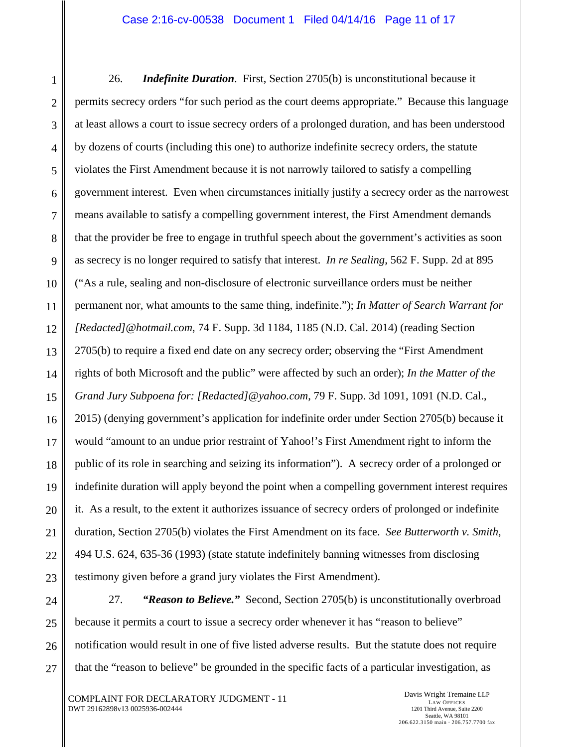26. *Indefinite Duration*. First, Section 2705(b) is unconstitutional because it permits secrecy orders "for such period as the court deems appropriate." Because this language at least allows a court to issue secrecy orders of a prolonged duration, and has been understood by dozens of courts (including this one) to authorize indefinite secrecy orders, the statute violates the First Amendment because it is not narrowly tailored to satisfy a compelling government interest. Even when circumstances initially justify a secrecy order as the narrowest means available to satisfy a compelling government interest, the First Amendment demands that the provider be free to engage in truthful speech about the government's activities as soon as secrecy is no longer required to satisfy that interest. *In re Sealing*, 562 F. Supp. 2d at 895 ("As a rule, sealing and non-disclosure of electronic surveillance orders must be neither permanent nor, what amounts to the same thing, indefinite."); *In Matter of Search Warrant for [Redacted]@hotmail.com*, 74 F. Supp. 3d 1184, 1185 (N.D. Cal. 2014) (reading Section 2705(b) to require a fixed end date on any secrecy order; observing the "First Amendment rights of both Microsoft and the public" were affected by such an order); *In the Matter of the Grand Jury Subpoena for: [Redacted]@yahoo.com*, 79 F. Supp. 3d 1091, 1091 (N.D. Cal., 2015) (denying government's application for indefinite order under Section 2705(b) because it would "amount to an undue prior restraint of Yahoo!'s First Amendment right to inform the public of its role in searching and seizing its information"). A secrecy order of a prolonged or indefinite duration will apply beyond the point when a compelling government interest requires it. As a result, to the extent it authorizes issuance of secrecy orders of prolonged or indefinite duration, Section 2705(b) violates the First Amendment on its face. *See Butterworth v. Smith*, 494 U.S. 624, 635-36 (1993) (state statute indefinitely banning witnesses from disclosing testimony given before a grand jury violates the First Amendment).

27. *"Reason to Believe."* Second, Section 2705(b) is unconstitutionally overbroad because it permits a court to issue a secrecy order whenever it has "reason to believe" notification would result in one of five listed adverse results. But the statute does not require that the "reason to believe" be grounded in the specific facts of a particular investigation, as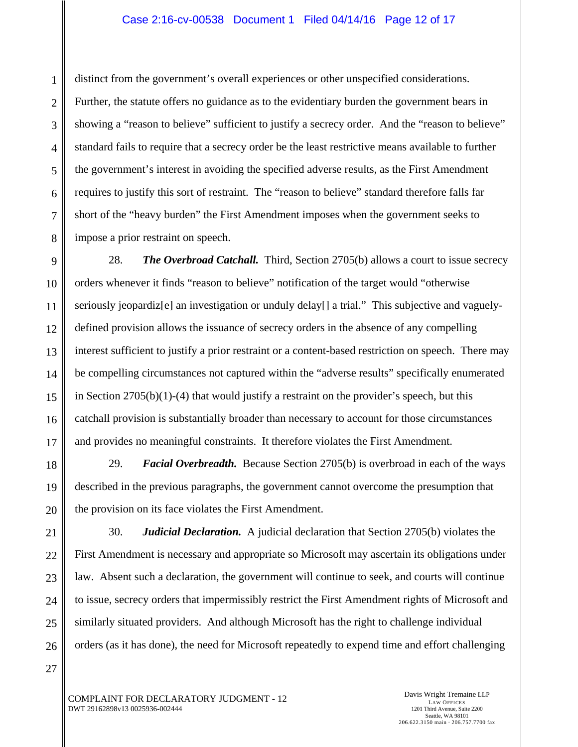distinct from the government's overall experiences or other unspecified considerations. Further, the statute offers no guidance as to the evidentiary burden the government bears in showing a "reason to believe" sufficient to justify a secrecy order. And the "reason to believe" standard fails to require that a secrecy order be the least restrictive means available to further the government's interest in avoiding the specified adverse results, as the First Amendment requires to justify this sort of restraint. The "reason to believe" standard therefore falls far short of the "heavy burden" the First Amendment imposes when the government seeks to impose a prior restraint on speech.

28. *The Overbroad Catchall.* Third, Section 2705(b) allows a court to issue secrecy orders whenever it finds "reason to believe" notification of the target would "otherwise seriously jeopardiz[e] an investigation or unduly delay[] a trial." This subjective and vaguelydefined provision allows the issuance of secrecy orders in the absence of any compelling interest sufficient to justify a prior restraint or a content-based restriction on speech. There may be compelling circumstances not captured within the "adverse results" specifically enumerated in Section  $2705(b)(1)-(4)$  that would justify a restraint on the provider's speech, but this catchall provision is substantially broader than necessary to account for those circumstances and provides no meaningful constraints. It therefore violates the First Amendment.

29. *Facial Overbreadth.* Because Section 2705(b) is overbroad in each of the ways described in the previous paragraphs, the government cannot overcome the presumption that the provision on its face violates the First Amendment.

30. *Judicial Declaration.* A judicial declaration that Section 2705(b) violates the First Amendment is necessary and appropriate so Microsoft may ascertain its obligations under law. Absent such a declaration, the government will continue to seek, and courts will continue to issue, secrecy orders that impermissibly restrict the First Amendment rights of Microsoft and similarly situated providers. And although Microsoft has the right to challenge individual orders (as it has done), the need for Microsoft repeatedly to expend time and effort challenging

COMPLAINT FOR DECLARATORY JUDGMENT - 12 DWT 29162898v13 0025936-002444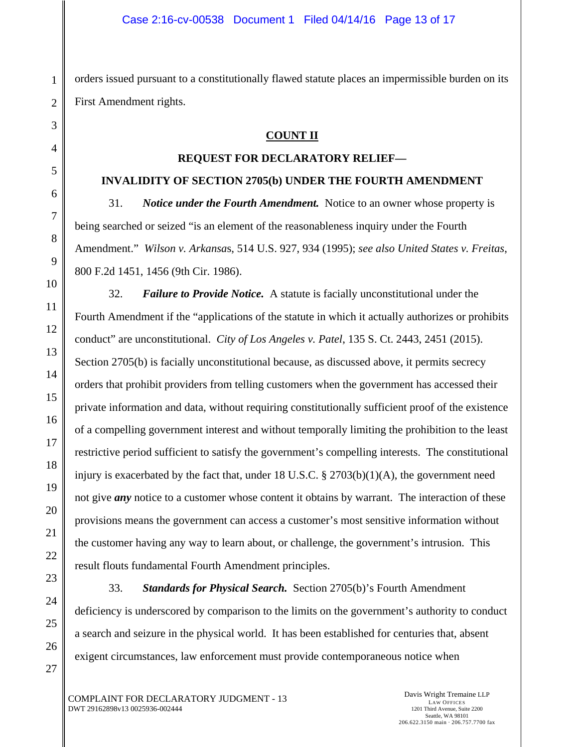orders issued pursuant to a constitutionally flawed statute places an impermissible burden on its First Amendment rights.

## **COUNT II**

### **REQUEST FOR DECLARATORY RELIEF—**

### **INVALIDITY OF SECTION 2705(b) UNDER THE FOURTH AMENDMENT**

31. *Notice under the Fourth Amendment.* Notice to an owner whose property is being searched or seized "is an element of the reasonableness inquiry under the Fourth Amendment." *Wilson v. Arkansa*s, 514 U.S. 927, 934 (1995); *see also United States v. Freitas*, 800 F.2d 1451, 1456 (9th Cir. 1986).

32. *Failure to Provide Notice.* A statute is facially unconstitutional under the Fourth Amendment if the "applications of the statute in which it actually authorizes or prohibits conduct" are unconstitutional. *City of Los Angeles v. Patel*, 135 S. Ct. 2443, 2451 (2015). Section 2705(b) is facially unconstitutional because, as discussed above, it permits secrecy orders that prohibit providers from telling customers when the government has accessed their private information and data, without requiring constitutionally sufficient proof of the existence of a compelling government interest and without temporally limiting the prohibition to the least restrictive period sufficient to satisfy the government's compelling interests. The constitutional injury is exacerbated by the fact that, under 18 U.S.C.  $\S 2703(b)(1)(A)$ , the government need not give *any* notice to a customer whose content it obtains by warrant. The interaction of these provisions means the government can access a customer's most sensitive information without the customer having any way to learn about, or challenge, the government's intrusion. This result flouts fundamental Fourth Amendment principles.

33. *Standards for Physical Search.* Section 2705(b)'s Fourth Amendment deficiency is underscored by comparison to the limits on the government's authority to conduct a search and seizure in the physical world. It has been established for centuries that, absent exigent circumstances, law enforcement must provide contemporaneous notice when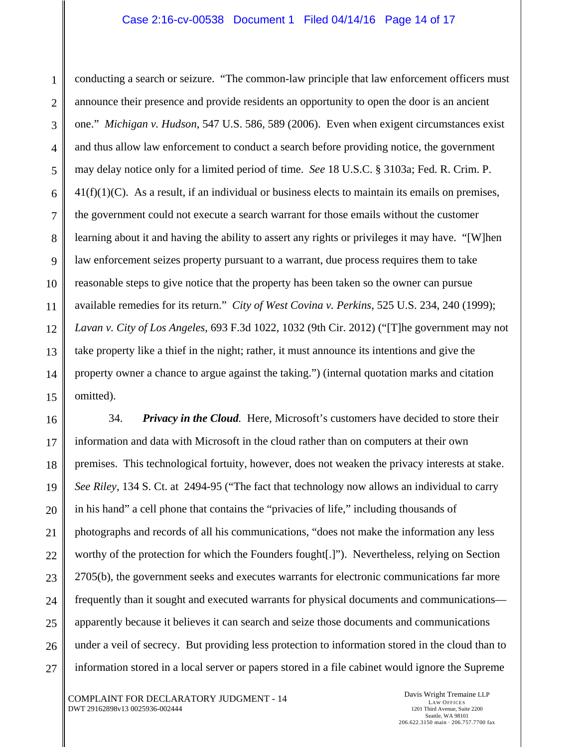### Case 2:16-cv-00538 Document 1 Filed 04/14/16 Page 14 of 17

conducting a search or seizure. "The common-law principle that law enforcement officers must announce their presence and provide residents an opportunity to open the door is an ancient one." *Michigan v. Hudson*, 547 U.S. 586, 589 (2006). Even when exigent circumstances exist and thus allow law enforcement to conduct a search before providing notice, the government may delay notice only for a limited period of time. *See* 18 U.S.C. § 3103a; Fed. R. Crim. P.  $41(f)(1)(C)$ . As a result, if an individual or business elects to maintain its emails on premises, the government could not execute a search warrant for those emails without the customer learning about it and having the ability to assert any rights or privileges it may have. "[W]hen law enforcement seizes property pursuant to a warrant, due process requires them to take reasonable steps to give notice that the property has been taken so the owner can pursue available remedies for its return." *City of West Covina v. Perkins*, 525 U.S. 234, 240 (1999); *Lavan v. City of Los Angeles*, 693 F.3d 1022, 1032 (9th Cir. 2012) ("[T]he government may not take property like a thief in the night; rather, it must announce its intentions and give the property owner a chance to argue against the taking.") (internal quotation marks and citation omitted).

34. *Privacy in the Cloud.* Here, Microsoft's customers have decided to store their information and data with Microsoft in the cloud rather than on computers at their own premises. This technological fortuity, however, does not weaken the privacy interests at stake. *See Riley,* 134 S. Ct. at 2494-95 ("The fact that technology now allows an individual to carry in his hand" a cell phone that contains the "privacies of life," including thousands of photographs and records of all his communications, "does not make the information any less worthy of the protection for which the Founders fought[.]"). Nevertheless, relying on Section 2705(b), the government seeks and executes warrants for electronic communications far more frequently than it sought and executed warrants for physical documents and communications apparently because it believes it can search and seize those documents and communications under a veil of secrecy. But providing less protection to information stored in the cloud than to information stored in a local server or papers stored in a file cabinet would ignore the Supreme

COMPLAINT FOR DECLARATORY JUDGMENT - 14 DWT 29162898v13 0025936-002444

1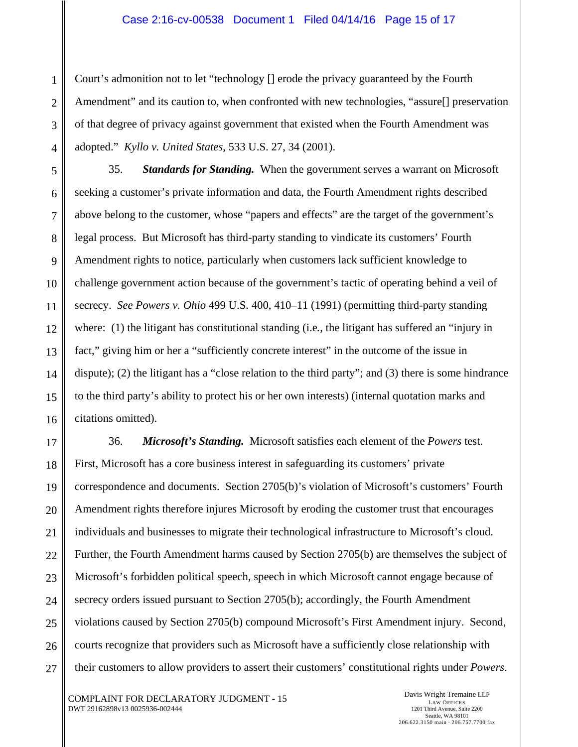Court's admonition not to let "technology [] erode the privacy guaranteed by the Fourth Amendment" and its caution to, when confronted with new technologies, "assure[] preservation of that degree of privacy against government that existed when the Fourth Amendment was adopted." *Kyllo v. United States*, 533 U.S. 27, 34 (2001).

35. *Standards for Standing.* When the government serves a warrant on Microsoft seeking a customer's private information and data, the Fourth Amendment rights described above belong to the customer, whose "papers and effects" are the target of the government's legal process. But Microsoft has third-party standing to vindicate its customers' Fourth Amendment rights to notice, particularly when customers lack sufficient knowledge to challenge government action because of the government's tactic of operating behind a veil of secrecy. *See Powers v. Ohio* 499 U.S. 400, 410–11 (1991) (permitting third-party standing where: (1) the litigant has constitutional standing (i.e., the litigant has suffered an "injury in fact," giving him or her a "sufficiently concrete interest" in the outcome of the issue in dispute); (2) the litigant has a "close relation to the third party"; and (3) there is some hindrance to the third party's ability to protect his or her own interests) (internal quotation marks and citations omitted).

36. *Microsoft's Standing.* Microsoft satisfies each element of the *Powers* test. First, Microsoft has a core business interest in safeguarding its customers' private correspondence and documents. Section 2705(b)'s violation of Microsoft's customers' Fourth Amendment rights therefore injures Microsoft by eroding the customer trust that encourages individuals and businesses to migrate their technological infrastructure to Microsoft's cloud. Further, the Fourth Amendment harms caused by Section 2705(b) are themselves the subject of Microsoft's forbidden political speech, speech in which Microsoft cannot engage because of secrecy orders issued pursuant to Section 2705(b); accordingly, the Fourth Amendment violations caused by Section 2705(b) compound Microsoft's First Amendment injury. Second, courts recognize that providers such as Microsoft have a sufficiently close relationship with their customers to allow providers to assert their customers' constitutional rights under *Powers*.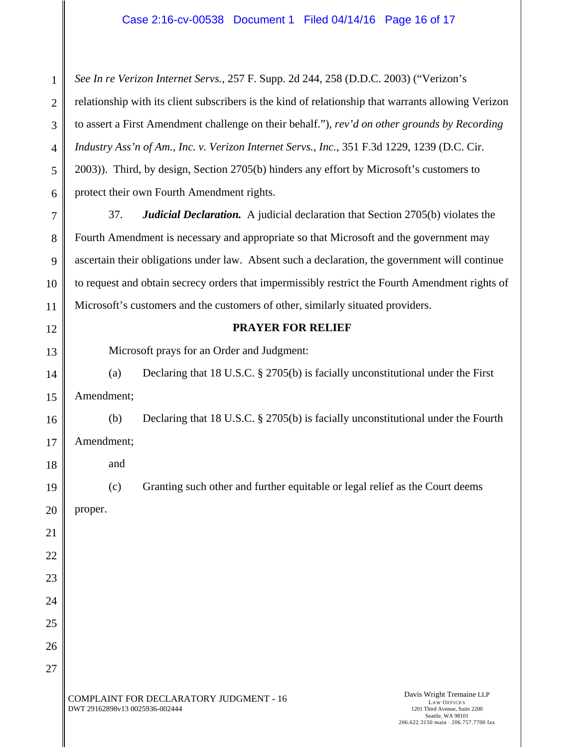*See In re Verizon Internet Servs.*, 257 F. Supp. 2d 244, 258 (D.D.C. 2003) ("Verizon's relationship with its client subscribers is the kind of relationship that warrants allowing Verizon to assert a First Amendment challenge on their behalf."), *rev'd on other grounds by Recording Industry Ass'n of Am., Inc. v. Verizon Internet Servs., Inc.*, 351 F.3d 1229, 1239 (D.C. Cir. 2003)). Third, by design, Section 2705(b) hinders any effort by Microsoft's customers to protect their own Fourth Amendment rights.

8 9 10 37. *Judicial Declaration.* A judicial declaration that Section 2705(b) violates the Fourth Amendment is necessary and appropriate so that Microsoft and the government may ascertain their obligations under law. Absent such a declaration, the government will continue to request and obtain secrecy orders that impermissibly restrict the Fourth Amendment rights of Microsoft's customers and the customers of other, similarly situated providers.

### **PRAYER FOR RELIEF**

Microsoft prays for an Order and Judgment:

14 15 (a) Declaring that 18 U.S.C. § 2705(b) is facially unconstitutional under the First Amendment;

(b) Declaring that 18 U.S.C. § 2705(b) is facially unconstitutional under the Fourth Amendment;

and

(c) Granting such other and further equitable or legal relief as the Court deems

20 proper.

1

2

3

4

5

6

7

11

12

13

16

17

18

19

21

22

23

24

25

26

27

COMPLAINT FOR DECLARATORY JUDGMENT - 16 DWT 29162898v13 0025936-002444